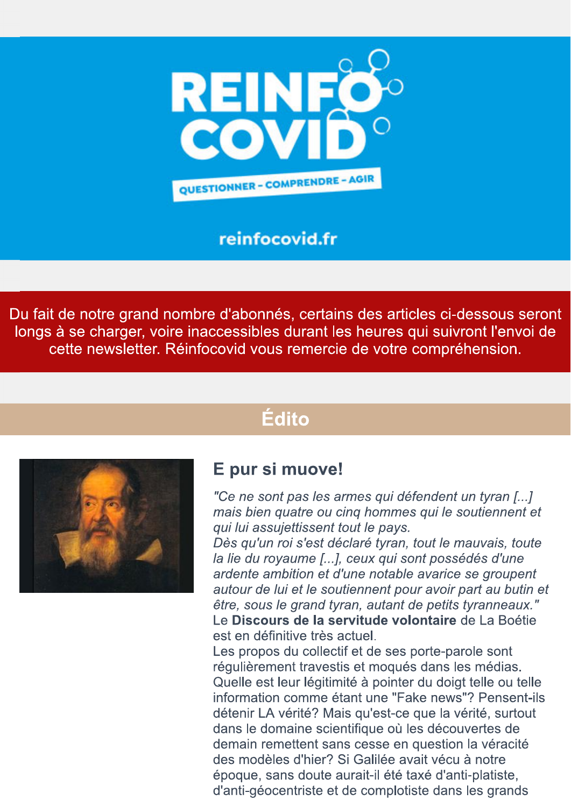

### reinfocovid.fr

Du fait de notre grand nombre d'abonnés, certains des articles ci-dessous seront longs à se charger, voire inaccessibles durant les heures qui suivront l'envoi de cette newsletter. Réinfocovid vous remercie de votre compréhension.

# Édito



### E pur si muove!

"Ce ne sont pas les armes qui défendent un tyran [...] mais bien quatre ou cing hommes qui le soutiennent et qui lui assujettissent tout le pays.

Dès qu'un roi s'est déclaré tyran, tout le mauvais, toute la lie du royaume [...], ceux qui sont possédés d'une ardente ambition et d'une notable avarice se groupent autour de lui et le soutiennent pour avoir part au butin et être, sous le grand tyran, autant de petits tyranneaux." Le Discours de la servitude volontaire de La Boétie est en définitive très actuel.

Les propos du collectif et de ses porte-parole sont régulièrement travestis et moqués dans les médias. Quelle est leur légitimité à pointer du doigt telle ou telle information comme étant une "Fake news"? Pensent-ils détenir LA vérité? Mais qu'est-ce que la vérité, surtout dans le domaine scientifique où les découvertes de demain remettent sans cesse en question la véracité des modèles d'hier? Si Galilée avait vécu à notre époque, sans doute aurait-il été taxé d'anti-platiste, d'anti-géocentriste et de complotiste dans les grands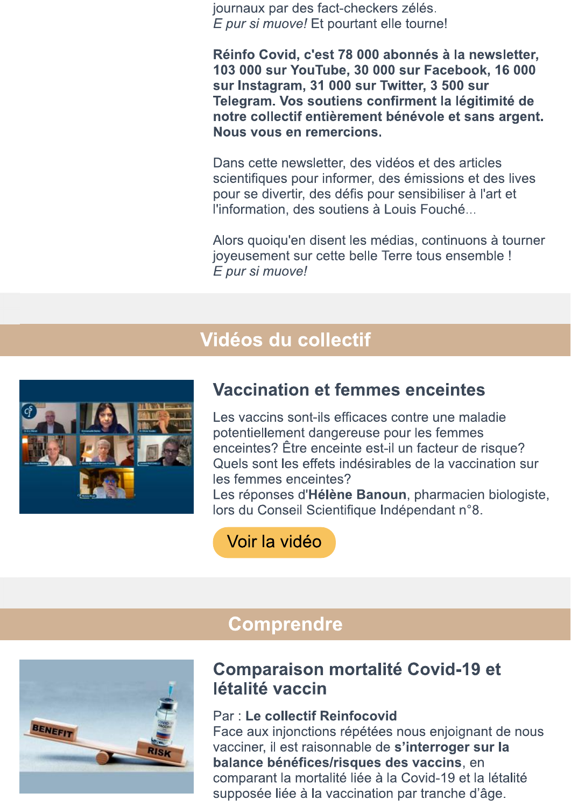journaux par des fact-checkers zélés. E pur si muove! Et pourtant elle tourne!

Réinfo Covid, c'est 78 000 abonnés à la newsletter, 103 000 sur YouTube, 30 000 sur Facebook, 16 000 sur Instagram, 31 000 sur Twitter, 3 500 sur Telegram. Vos soutiens confirment la légitimité de notre collectif entièrement bénévole et sans argent. Nous vous en remercions.

Dans cette newsletter, des vidéos et des articles scientifiques pour informer, des émissions et des lives pour se divertir, des défis pour sensibiliser à l'art et l'information, des soutiens à Louis Fouché...

Alors quoiqu'en disent les médias, continuons à tourner joyeusement sur cette belle Terre tous ensemble ! E pur si muove!

## Vidéos du collectif



### **Vaccination et femmes enceintes**

Les vaccins sont-ils efficaces contre une maladie potentiellement dangereuse pour les femmes enceintes? Être enceinte est-il un facteur de risque? Quels sont les effets indésirables de la vaccination sur les femmes enceintes?

Les réponses d'Hélène Banoun, pharmacien biologiste, lors du Conseil Scientifique Indépendant n°8.

Voir la vidéo



### **Comprendre**

### **Comparaison mortalité Covid-19 et** létalité vaccin

#### Par : Le collectif Reinfocovid

Face aux injonctions répétées nous enjoignant de nous vacciner, il est raisonnable de s'interroger sur la balance bénéfices/risques des vaccins, en comparant la mortalité liée à la Covid-19 et la létalité supposée liée à la vaccination par tranche d'âge.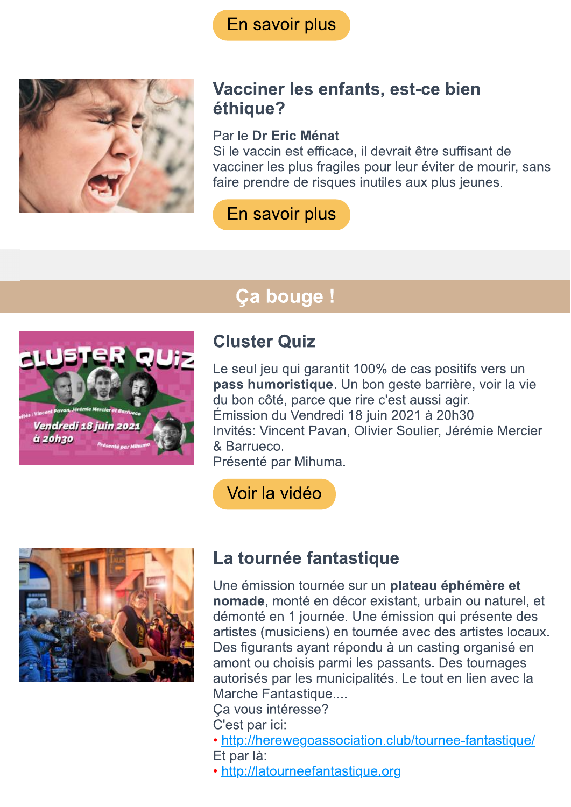

### Vacciner les enfants, est-ce bien éthique?

### Par le Dr Eric Ménat

Si le vaccin est efficace, il devrait être suffisant de vacciner les plus fragiles pour leur éviter de mourir, sans faire prendre de risques inutiles aux plus jeunes.

### En savoir plus

# **Ça bouge!**



# **Cluster Quiz**

Le seul jeu qui garantit 100% de cas positifs vers un pass humoristique. Un bon geste barrière, voir la vie du bon côté, parce que rire c'est aussi agir. Émission du Vendredi 18 juin 2021 à 20h30 Invités: Vincent Pavan, Olivier Soulier, Jérémie Mercier & Barrueco.

Présenté par Mihuma.

Voir la vidéo



# La tournée fantastique

Une émission tournée sur un plateau éphémère et nomade, monté en décor existant, urbain ou naturel, et démonté en 1 journée. Une émission qui présente des artistes (musiciens) en tournée avec des artistes locaux. Des figurants ayant répondu à un casting organisé en amont ou choisis parmi les passants. Des tournages autorisés par les municipalités. Le tout en lien avec la Marche Fantastique....

Ca vous intéresse?

C'est par ici:

• http://herewegoassociation.club/tournee-fantastique/ Et par là:

• http://latourneefantastique.org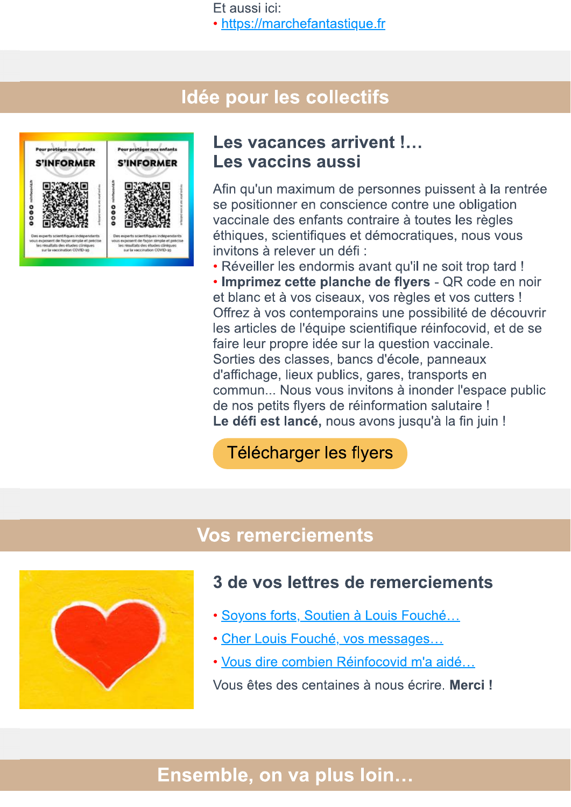Et aussi ici:

• https://marchefantastique.fr

### Idée pour les collectifs



### Les vacances arrivent !... Les vaccins aussi

Afin qu'un maximum de personnes puissent à la rentrée se positionner en conscience contre une obligation vaccinale des enfants contraire à toutes les règles éthiques, scientifiques et démocratiques, nous vous invitons à relever un défi :

• Réveiller les endormis avant qu'il ne soit trop tard !

· Imprimez cette planche de flyers - QR code en noir et blanc et à vos ciseaux, vos règles et vos cutters ! Offrez à vos contemporains une possibilité de découvrir les articles de l'équipe scientifique réinfocovid, et de se faire leur propre idée sur la question vaccinale. Sorties des classes, bancs d'école, panneaux d'affichage, lieux publics, gares, transports en commun... Nous vous invitons à inonder l'espace public de nos petits flyers de réinformation salutaire ! Le défi est lancé, nous avons jusqu'à la fin juin !

### Télécharger les flyers

### **Vos remerciements**



### 3 de vos lettres de remerciements

- · Soyons forts, Soutien à Louis Fouché...
- · Cher Louis Fouché, vos messages...
- · Vous dire combien Réinfocovid m'a aidé...

Vous êtes des centaines à nous écrire. Merci!

## Ensemble, on va plus loin...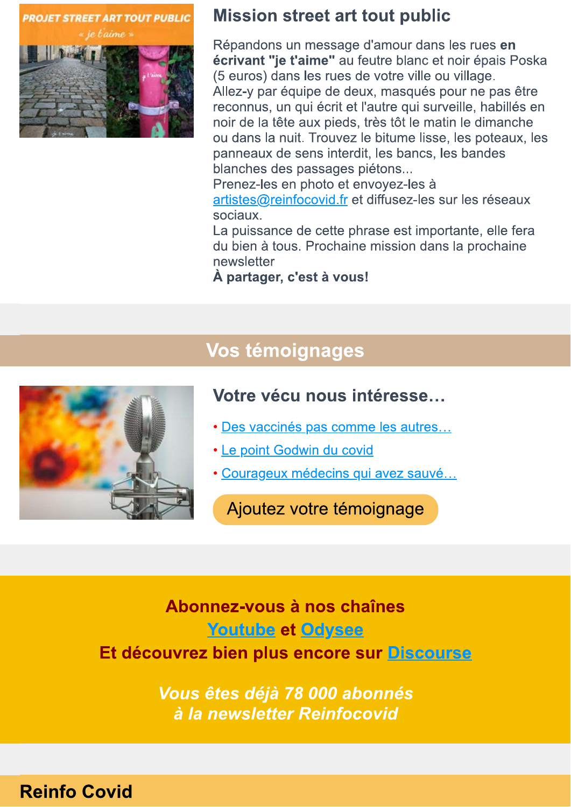**PROJET STREET ART TOUT PUBLIC** 



### **Mission street art tout public**

Répandons un message d'amour dans les rues en écrivant "je t'aime" au feutre blanc et noir épais Poska (5 euros) dans les rues de votre ville ou village. Allez-y par équipe de deux, masqués pour ne pas être reconnus, un qui écrit et l'autre qui surveille, habillés en noir de la tête aux pieds, très tôt le matin le dimanche ou dans la nuit. Trouvez le bitume lisse, les poteaux, les panneaux de sens interdit, les bancs, les bandes blanches des passages piétons...

Prenez-les en photo et envoyez-les à artistes@reinfocovid.fr et diffusez-les sur les réseaux sociaux.

La puissance de cette phrase est importante, elle fera du bien à tous. Prochaine mission dans la prochaine newsletter

À partager, c'est à vous!

# Vos témoignages



### Votre vécu nous intéresse...

- · Des vaccinés pas comme les autres...
- Le point Godwin du covid
- · Courageux médecins qui avez sauvé...

Ajoutez votre témoignage

Abonnez-vous à nos chaînes **Youtube et Odysee** Et découvrez bien plus encore sur Discourse

> Vous êtes déjà 78 000 abonnés à la newsletter Reinfocovid

### **Reinfo Covid**